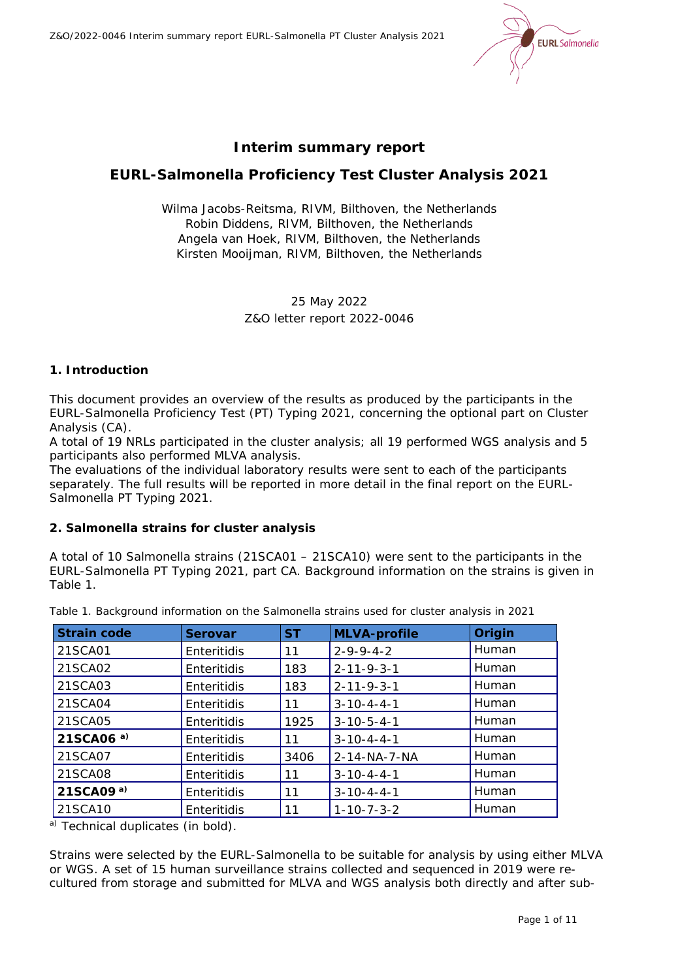Z&O/2022-0046 Interim summary report EURL-*Salmonella* PT Cluster Analysis 2021



# **Interim summary report**

# **EURL-***Salmonella* **Proficiency Test Cluster Analysis 2021**

Wilma Jacobs-Reitsma, RIVM, Bilthoven, the Netherlands Robin Diddens, RIVM, Bilthoven, the Netherlands Angela van Hoek, RIVM, Bilthoven, the Netherlands Kirsten Mooijman, RIVM, Bilthoven, the Netherlands

# 25 May 2022 Z&O letter report 2022-0046

# **1. Introduction**

This document provides an overview of the results as produced by the participants in the EURL-*Salmonella* Proficiency Test (PT) Typing 2021, concerning the optional part on Cluster Analysis (CA).

A total of 19 NRLs participated in the cluster analysis; all 19 performed WGS analysis and 5 participants also performed MLVA analysis.

The evaluations of the individual laboratory results were sent to each of the participants separately. The full results will be reported in more detail in the final report on the EURL-*Salmonella* PT Typing 2021.

#### **2.** *Salmonella* **strains for cluster analysis**

A total of 10 *Salmonella* strains (21SCA01 – 21SCA10) were sent to the participants in the EURL-*Salmonella* PT Typing 2021, part CA. Background information on the strains is given in Table 1.

| <b>Strain code</b>    | <b>Serovar</b> | <b>ST</b> | <b>MLVA-profile</b>  | Origin |
|-----------------------|----------------|-----------|----------------------|--------|
| 21SCA01               | Enteritidis    | 11        | $2 - 9 - 9 - 4 - 2$  | Human  |
| 21SCA02               | Enteritidis    | 183       | $2 - 11 - 9 - 3 - 1$ | Human  |
| 21SCA03               | Enteritidis    | 183       | $2 - 11 - 9 - 3 - 1$ | Human  |
| 21SCA04               | Enteritidis    | 11        | $3 - 10 - 4 - 4 - 1$ | Human  |
| 21SCA05               | Enteritidis    | 1925      | $3 - 10 - 5 - 4 - 1$ | Human  |
| 21SCA06 <sup>a)</sup> | Enteritidis    | 11        | $3 - 10 - 4 - 4 - 1$ | Human  |
| 21SCA07               | Enteritidis    | 3406      | 2-14-NA-7-NA         | Human  |
| 21SCA08               | Enteritidis    | 11        | $3 - 10 - 4 - 4 - 1$ | Human  |
| 21SCA09 $a$ )         | Enteritidis    | 11        | $3 - 10 - 4 - 4 - 1$ | Human  |
| 21SCA10               | Enteritidis    | 11        | $1 - 10 - 7 - 3 - 2$ | Human  |

*Table 1. Background information on the* Salmonella *strains used for cluster analysis in 2021*

a) Technical duplicates (in bold).

Strains were selected by the EURL-*Salmonella* to be suitable for analysis by using either MLVA or WGS. A set of 15 human surveillance strains collected and sequenced in 2019 were recultured from storage and submitted for MLVA and WGS analysis both directly and after sub-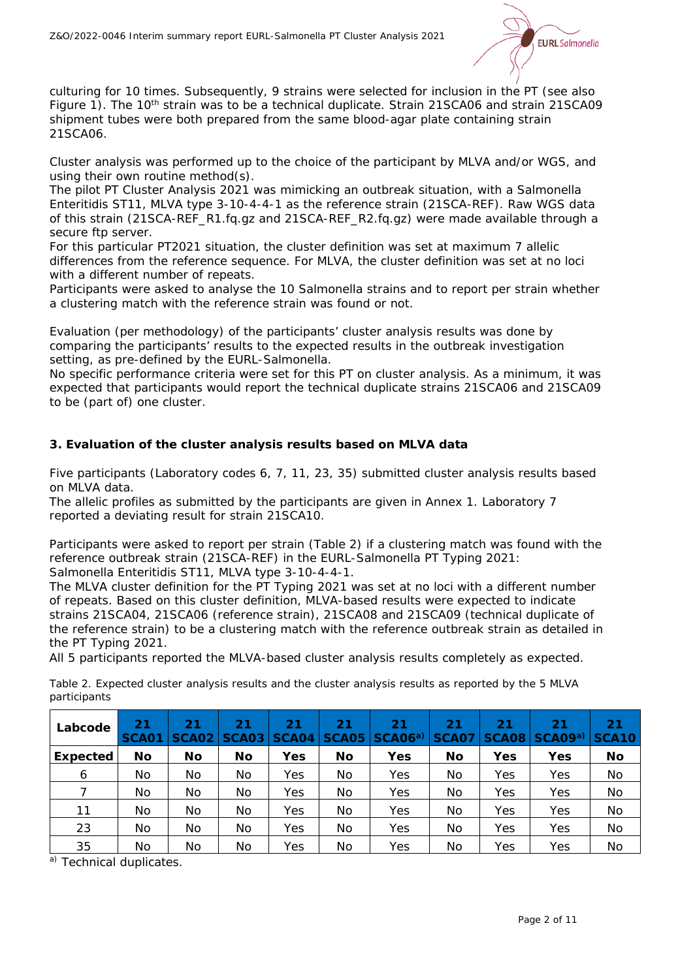

culturing for 10 times. Subsequently, 9 strains were selected for inclusion in the PT (see also Figure 1). The 10<sup>th</sup> strain was to be a technical duplicate. Strain 21SCA06 and strain 21SCA09 shipment tubes were both prepared from the same blood-agar plate containing strain 21SCA06.

Cluster analysis was performed up to the choice of the participant by MLVA and/or WGS, and using their own routine method(s).

The pilot PT Cluster Analysis 2021 was mimicking an outbreak situation, with a *Salmonella* Enteritidis ST11, MLVA type 3-10-4-4-1 as the reference strain (21SCA-REF). Raw WGS data of this strain (21SCA-REF\_R1.fq.gz and 21SCA-REF\_R2.fq.gz) were made available through a secure ftp server.

For this particular PT2021 situation, the cluster definition was set at maximum 7 allelic differences from the reference sequence. For MLVA, the cluster definition was set at no loci with a different number of repeats.

Participants were asked to analyse the 10 *Salmonella* strains and to report per strain whether a clustering match with the reference strain was found or not.

Evaluation (per methodology) of the participants' cluster analysis results was done by comparing the participants' results to the expected results in the outbreak investigation setting, as pre-defined by the EURL-*Salmonella.* 

No specific performance criteria were set for this PT on cluster analysis. As a minimum, it was expected that participants would report the technical duplicate strains 21SCA06 and 21SCA09 to be (part of) one cluster.

# **3. Evaluation of the cluster analysis results based on MLVA data**

Five participants (Laboratory codes 6, 7, 11, 23, 35) submitted cluster analysis results based on MLVA data.

The allelic profiles as submitted by the participants are given in Annex 1. Laboratory 7 reported a deviating result for strain 21SCA10.

Participants were asked to report per strain (Table 2) if a clustering match was found with the reference outbreak strain (21SCA-REF) in the EURL-*Salmonella* PT Typing 2021: *Salmonella* Enteritidis ST11, MLVA type 3-10-4-4-1.

The MLVA cluster definition for the PT Typing 2021 was set at no loci with a different number of repeats. Based on this cluster definition, MLVA-based results were expected to indicate strains 21SCA04, 21SCA06 (reference strain), 21SCA08 and 21SCA09 (technical duplicate of the reference strain) to be a clustering match with the reference outbreak strain as detailed in the PT Typing 2021.

All 5 participants reported the MLVA-based cluster analysis results completely as expected.

| Labcode         | 21<br>SCA01 | 21<br>SCA02 | 21<br>SCA03 | 21<br>SCA04 | 21<br><b>SCA05</b> | 21<br>$ SCAO6^a $ | 21<br><b>SCA07</b> | 21<br> SCAO8 | 21<br>SCA09 <sup>a)</sup> | 21<br><b>SCA10</b> |
|-----------------|-------------|-------------|-------------|-------------|--------------------|-------------------|--------------------|--------------|---------------------------|--------------------|
| <b>Expected</b> | No          | No          | No          | Yes         | No                 | Yes               | No                 | Yes          | Yes                       | No                 |
| 6               | No          | No          | No          | Yes         | No                 | Yes               | No                 | Yes          | Yes                       | No                 |
|                 | No          | No          | No          | Yes         | No                 | Yes               | No                 | Yes          | Yes                       | No                 |
| 11              | No          | No          | No          | Yes         | No                 | Yes               | No                 | Yes          | Yes                       | No                 |
| 23              | No          | No          | No          | Yes         | No                 | Yes               | No                 | Yes          | Yes                       | No                 |
| 35              | No          | No          | No          | Yes         | No                 | Yes               | No                 | Yes          | Yes                       | No.                |

*Table 2. Expected cluster analysis results and the cluster analysis results as reported by the 5 MLVA participants*

a) Technical duplicates.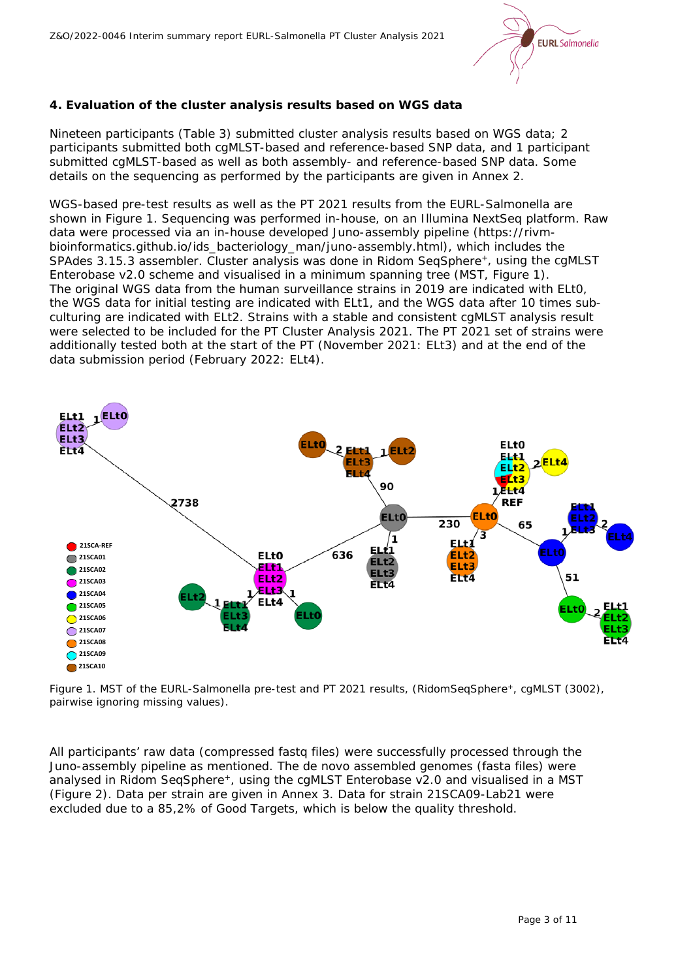

# **4. Evaluation of the cluster analysis results based on WGS data**

Nineteen participants (Table 3) submitted cluster analysis results based on WGS data; 2 participants submitted both cgMLST-based and reference-based SNP data, and 1 participant submitted cgMLST-based as well as both assembly- and reference-based SNP data. Some details on the sequencing as performed by the participants are given in Annex 2.

WGS-based pre-test results as well as the PT 2021 results from the EURL-*Salmonella* are shown in Figure 1. Sequencing was performed in-house, on an Illumina NextSeq platform. Raw data were processed via an in-house developed Juno-assembly pipeline (https://rivmbioinformatics.github.io/ids\_bacteriology\_man/juno-assembly.html), which includes the SPAdes 3.15.3 assembler. Cluster analysis was done in Ridom SeqSphere+, using the cgMLST Enterobase v2.0 scheme and visualised in a minimum spanning tree (MST, Figure 1). The original WGS data from the human surveillance strains in 2019 are indicated with ELt0, the WGS data for initial testing are indicated with ELt1, and the WGS data after 10 times subculturing are indicated with ELt2. Strains with a stable and consistent cgMLST analysis result were selected to be included for the PT Cluster Analysis 2021. The PT 2021 set of strains were additionally tested both at the start of the PT (November 2021: ELt3) and at the end of the data submission period (February 2022: ELt4).



*Figure 1. MST of the EURL-*Salmonella *pre-test and PT 2021 results, (RidomSeqSphere+, cgMLST (3002), pairwise ignoring missing values).*

All participants' raw data (compressed fastq files) were successfully processed through the Juno-assembly pipeline as mentioned. The *de novo* assembled genomes (fasta files) were analysed in Ridom SeqSphere<sup>+</sup>, using the cgMLST Enterobase v2.0 and visualised in a MST (Figure 2). Data per strain are given in Annex 3. Data for strain 21SCA09-Lab21 were excluded due to a 85,2% of Good Targets, which is below the quality threshold.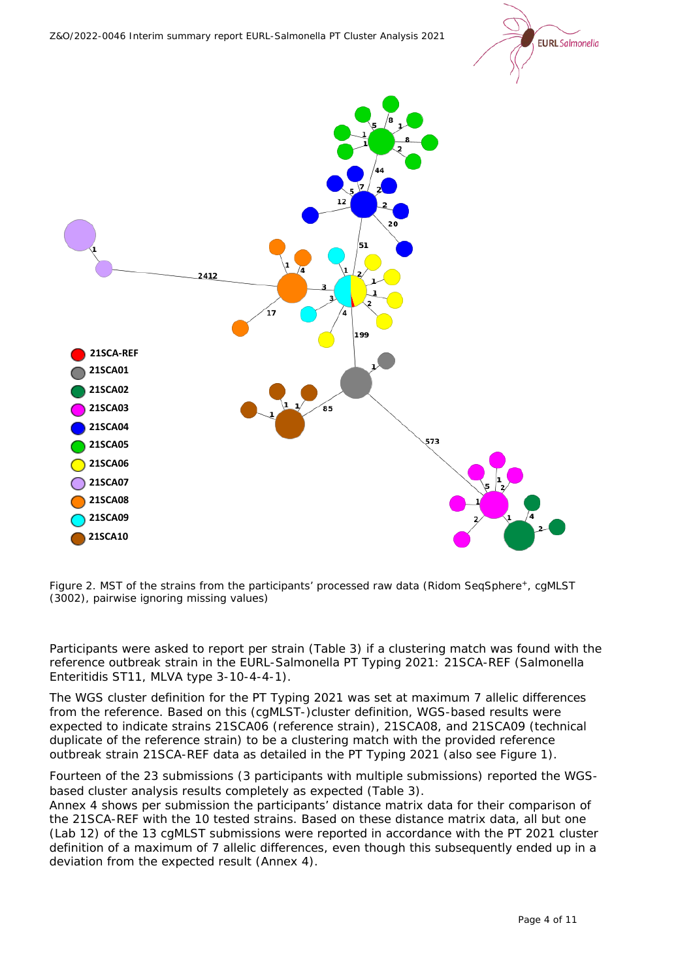



*Figure 2. MST of the strains from the participants' processed raw data (Ridom SeqSphere+, cgMLST (3002), pairwise ignoring missing values)*

Participants were asked to report per strain (Table 3) if a clustering match was found with the reference outbreak strain in the EURL-*Salmonella* PT Typing 2021: 21SCA-REF (*Salmonella* Enteritidis ST11, MLVA type 3-10-4-4-1).

The WGS cluster definition for the PT Typing 2021 was set at maximum 7 allelic differences from the reference. Based on this (cgMLST-)cluster definition, WGS-based results were expected to indicate strains 21SCA06 (reference strain), 21SCA08, and 21SCA09 (technical duplicate of the reference strain) to be a clustering match with the provided reference outbreak strain 21SCA-REF data as detailed in the PT Typing 2021 (also see Figure 1).

Fourteen of the 23 submissions (3 participants with multiple submissions) reported the WGSbased cluster analysis results completely as expected (Table 3).

Annex 4 shows per submission the participants' distance matrix data for their comparison of the 21SCA-REF with the 10 tested strains. Based on these distance matrix data, all but one (Lab 12) of the 13 cgMLST submissions were reported in accordance with the PT 2021 cluster definition of a maximum of 7 allelic differences, even though this subsequently ended up in a deviation from the expected result (Annex 4).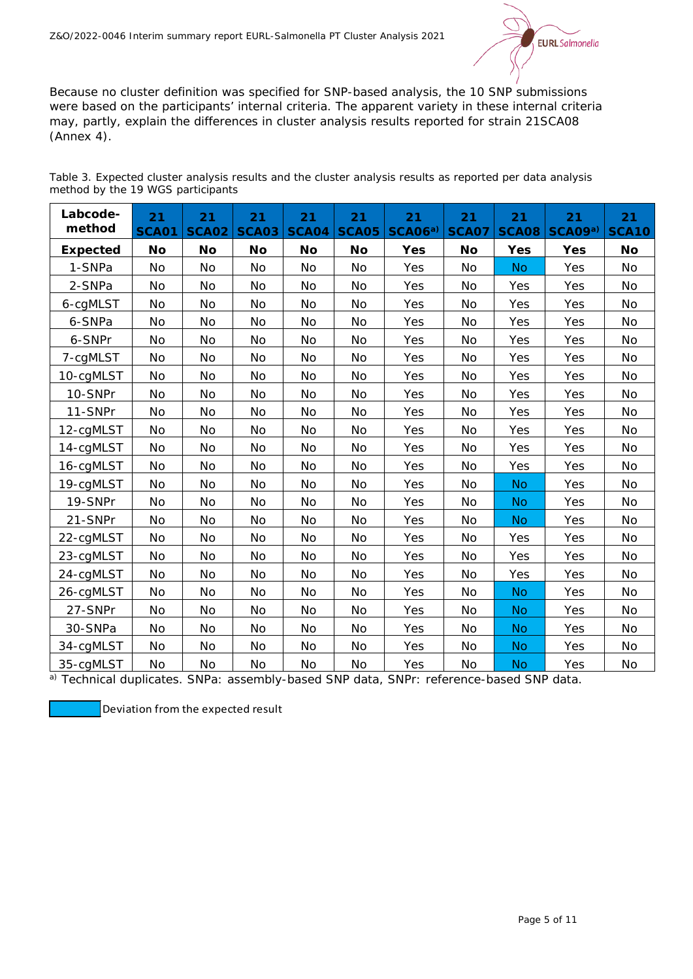

Because no cluster definition was specified for SNP-based analysis, the 10 SNP submissions were based on the participants' internal criteria. The apparent variety in these internal criteria may, partly, explain the differences in cluster analysis results reported for strain 21SCA08 (Annex 4).

| Table 3. Expected cluster analysis results and the cluster analysis results as reported per data analysis |  |  |  |  |  |  |  |
|-----------------------------------------------------------------------------------------------------------|--|--|--|--|--|--|--|
| method by the 19 WGS participants                                                                         |  |  |  |  |  |  |  |

| Labcode-<br>method | 21<br><b>SCA01</b> | 21<br><b>SCA02</b> | 21<br><b>SCA03</b> | 21<br><b>SCA04</b> | 21<br><b>SCA05</b> | 21<br>SCAO6 <sup>a</sup> | 21<br><b>SCA07</b> | 21<br><b>SCA08</b> | 21<br>SCA09a) | 21<br><b>SCA10</b> |
|--------------------|--------------------|--------------------|--------------------|--------------------|--------------------|--------------------------|--------------------|--------------------|---------------|--------------------|
| <b>Expected</b>    | <b>No</b>          | No                 | <b>No</b>          | <b>No</b>          | No                 | Yes                      | No                 | Yes                | <b>Yes</b>    | No                 |
| 1-SNPa             | <b>No</b>          | <b>No</b>          | <b>No</b>          | No                 | No                 | Yes                      | <b>No</b>          | <b>No</b>          | Yes           | No                 |
| 2-SNPa             | No                 | No                 | No                 | No                 | No                 | Yes                      | No                 | Yes                | Yes           | No                 |
| 6-cgMLST           | No                 | No                 | No                 | <b>No</b>          | No                 | Yes                      | No                 | Yes                | Yes           | No                 |
| 6-SNPa             | No                 | <b>No</b>          | No                 | No                 | No                 | Yes                      | No                 | Yes                | Yes           | <b>No</b>          |
| 6-SNPr             | <b>No</b>          | <b>No</b>          | No                 | <b>No</b>          | <b>No</b>          | Yes                      | No                 | Yes                | Yes           | <b>No</b>          |
| 7-cgMLST           | No                 | No                 | No                 | No                 | <b>No</b>          | Yes                      | No                 | Yes                | Yes           | No                 |
| 10-cgMLST          | No                 | No                 | No                 | No                 | No                 | Yes                      | No                 | Yes                | Yes           | No                 |
| 10-SNPr            | <b>No</b>          | No                 | No                 | No                 | <b>No</b>          | Yes                      | <b>No</b>          | Yes                | Yes           | <b>No</b>          |
| 11-SNPr            | No                 | <b>No</b>          | No                 | No                 | No                 | Yes                      | No                 | Yes                | Yes           | No                 |
| 12-cgMLST          | No                 | No                 | No                 | No                 | No                 | Yes                      | No                 | Yes                | Yes           | No                 |
| 14-cgMLST          | No                 | No                 | No                 | No                 | No                 | Yes                      | No                 | Yes                | Yes           | No                 |
| 16-cgMLST          | No                 | No                 | <b>No</b>          | No                 | <b>No</b>          | Yes                      | <b>No</b>          | Yes                | Yes           | No                 |
| 19-cgMLST          | No                 | No                 | No                 | No                 | No                 | Yes                      | No                 | <b>No</b>          | Yes           | No                 |
| 19-SNPr            | No                 | No                 | No                 | No                 | No                 | Yes                      | No                 | <b>No</b>          | Yes           | No                 |
| 21-SNPr            | No                 | No                 | <b>No</b>          | No                 | No                 | Yes                      | No                 | <b>No</b>          | Yes           | No                 |
| 22-cgMLST          | No                 | No                 | No                 | No                 | No                 | Yes                      | No                 | Yes                | Yes           | No                 |
| 23-cgMLST          | No                 | <b>No</b>          | <b>No</b>          | No                 | No                 | Yes                      | No                 | Yes                | Yes           | No                 |
| 24-cgMLST          | No                 | No                 | No                 | No                 | No                 | Yes                      | No                 | Yes                | Yes           | No                 |
| 26-cgMLST          | No                 | <b>No</b>          | <b>No</b>          | No                 | No                 | Yes                      | <b>No</b>          | <b>No</b>          | Yes           | No                 |
| 27-SNPr            | No                 | <b>No</b>          | <b>No</b>          | <b>No</b>          | No                 | Yes                      | No                 | <b>No</b>          | Yes           | No                 |
| 30-SNPa            | <b>No</b>          | <b>No</b>          | <b>No</b>          | No                 | No                 | Yes                      | No                 | <b>No</b>          | Yes           | No                 |
| 34-cgMLST          | No                 | <b>No</b>          | <b>No</b>          | No                 | No                 | Yes                      | No                 | <b>No</b>          | Yes           | No                 |
| 35-cqMLST          | No                 | No                 | No                 | No                 | No                 | Yes                      | No                 | <b>No</b>          | Yes           | No                 |

a) Technical duplicates. SNPa: assembly-based SNP data, SNPr: reference-based SNP data.

Deviation from the expected result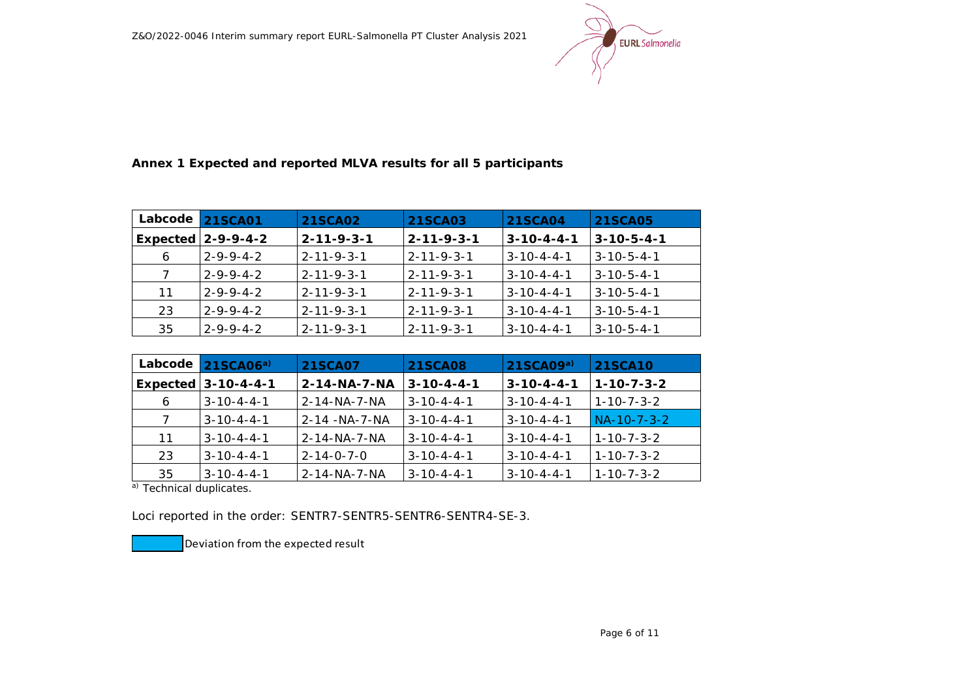

**Annex 1 Expected and reported MLVA results for all 5 participants**

| Labcode | <b>21SCA01</b>       | <b>21SCA02</b>        | <b>21SCA03</b>       | <b>21SCA04</b>       | 21SCA05              |
|---------|----------------------|-----------------------|----------------------|----------------------|----------------------|
|         | Expected $2-9-9-4-2$ | $2 - 11 - 9 - 3 - 1$  | $2 - 11 - 9 - 3 - 1$ | $3 - 10 - 4 - 4 - 1$ | $3 - 10 - 5 - 4 - 1$ |
| 6       | $2 - 9 - 9 - 4 - 2$  | $12 - 11 - 9 - 3 - 1$ | $2 - 11 - 9 - 3 - 1$ | $3 - 10 - 4 - 4 - 1$ | $3 - 10 - 5 - 4 - 1$ |
| 7       | $2 - 9 - 9 - 4 - 2$  | 12-11-9-3-1           | $2 - 11 - 9 - 3 - 1$ | $3 - 10 - 4 - 4 - 1$ | $3 - 10 - 5 - 4 - 1$ |
| 11      | $2 - 9 - 9 - 4 - 2$  | l 2-11-9-3-1          | $2 - 11 - 9 - 3 - 1$ | $3 - 10 - 4 - 4 - 1$ | $3 - 10 - 5 - 4 - 1$ |
| 23      | $2 - 9 - 9 - 4 - 2$  | $2 - 11 - 9 - 3 - 1$  | $2 - 11 - 9 - 3 - 1$ | $3 - 10 - 4 - 4 - 1$ | $3 - 10 - 5 - 4 - 1$ |
| 35      | $2 - 9 - 9 - 4 - 2$  | $2 - 11 - 9 - 3 - 1$  | $2 - 11 - 9 - 3 - 1$ | $3 - 10 - 4 - 4 - 1$ | $3 - 10 - 5 - 4 - 1$ |

| Labcode | 21SCAO6 <sup>a</sup>  | <b>21SCA07</b>         | <b>21SCA08</b>       | 21SCAO9 <sup>a</sup> | <b>21SCA10</b>       |
|---------|-----------------------|------------------------|----------------------|----------------------|----------------------|
|         | Expected $3-10-4-4-1$ | $2 - 14 - NA - 7 - NA$ | $3 - 10 - 4 - 4 - 1$ | $3 - 10 - 4 - 4 - 1$ | $1 - 10 - 7 - 3 - 2$ |
| 6       | $3 - 10 - 4 - 4 - 1$  | $2 - 14 - NA - 7 - NA$ | $3 - 10 - 4 - 4 - 1$ | $3 - 10 - 4 - 4 - 1$ | 1-10-7-3-2           |
| 7       | $3 - 10 - 4 - 4 - 1$  | 2-14 - NA-7-NA         | $3 - 10 - 4 - 4 - 1$ | $3 - 10 - 4 - 4 - 1$ | NA-10-7-3-2          |
| 11      | $3 - 10 - 4 - 4 - 1$  | 2-14-NA-7-NA           | $3 - 10 - 4 - 4 - 1$ | $3 - 10 - 4 - 4 - 1$ | $1 - 10 - 7 - 3 - 2$ |
| 23      | $3 - 10 - 4 - 4 - 1$  | $2 - 14 - 0 - 7 - 0$   | $3 - 10 - 4 - 4 - 1$ | $3 - 10 - 4 - 4 - 1$ | $1 - 10 - 7 - 3 - 2$ |
| 35      | $3 - 10 - 4 - 4 - 1$  | 2-14-NA-7-NA           | $3 - 10 - 4 - 4 - 1$ | $3 - 10 - 4 - 4 - 1$ | $1 - 10 - 7 - 3 - 2$ |

a) Technical duplicates.

Loci reported in the order: SENTR7-SENTR5-SENTR6-SENTR4-SE-3.

Deviation from the expected result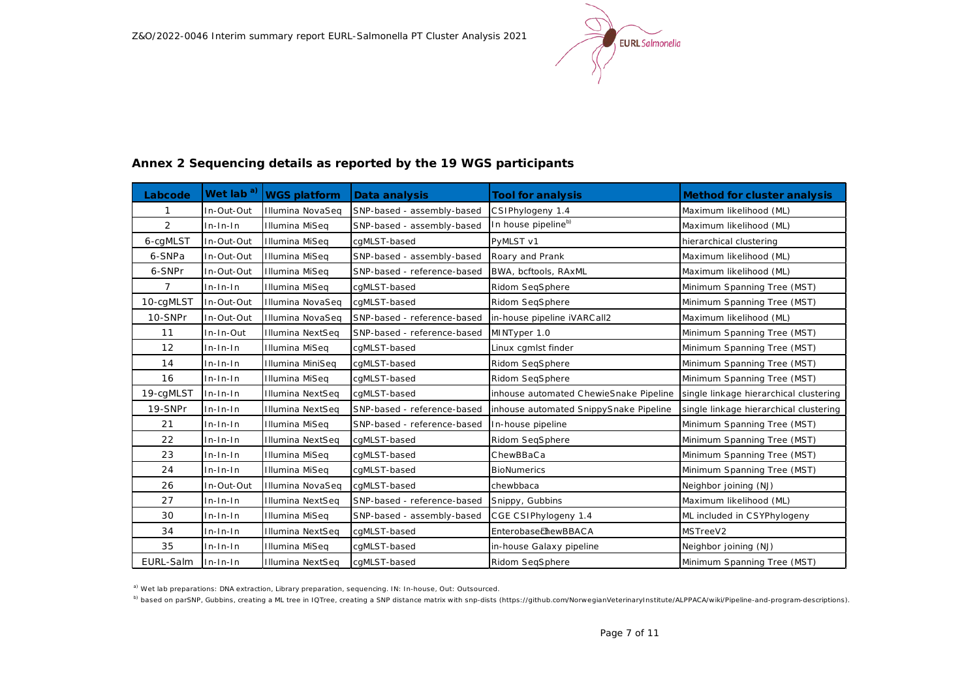

| Labcode        | Wet lab <sup>a)</sup> | <b>WGS platform</b>     | Data analysis               | <b>Tool for analysis</b>               | Method for cluster analysis            |
|----------------|-----------------------|-------------------------|-----------------------------|----------------------------------------|----------------------------------------|
|                | In-Out-Out            | Illumina NovaSeq        | SNP-based - assembly-based  | CSIPhylogeny 1.4                       | Maximum likelihood (ML)                |
| 2              | $In-In-In$            | Illumina MiSeg          | SNP-based - assembly-based  | In house pipelineb)                    | Maximum likelihood (ML)                |
| 6-cgMLST       | In-Out-Out            | Illumina MiSeq          | cqMLST-based                | PyMLST v1                              | hierarchical clustering                |
| 6-SNPa         | In-Out-Out            | <b>Illumina MiSeq</b>   | SNP-based - assembly-based  | Roary and Prank                        | Maximum likelihood (ML)                |
| 6-SNPr         | In-Out-Out            | Illumina MiSeg          | SNP-based - reference-based | BWA, bcftools, RAxML                   | Maximum likelihood (ML)                |
| $\overline{7}$ | $In-In-In$            | Illumina MiSeq          | cgMLST-based                | Ridom SegSphere                        | Minimum Spanning Tree (MST)            |
| 10-cgMLST      | In-Out-Out            | Illumina NovaSeq        | cgMLST-based                | Ridom SegSphere                        | Minimum Spanning Tree (MST)            |
| 10-SNPr        | In-Out-Out            | Illumina NovaSeq        | SNP-based - reference-based | in-house pipeline iVARC all2           | Maximum likelihood (ML)                |
| 11             | In-In-Out             | Illumina NextSeq        | SNP-based - reference-based | MINTyper 1.0                           | Minimum Spanning Tree (MST)            |
| 12             | $In-In-In$            | Illumina MiSeg          | cgMLST-based                | Linux cgmlst finder                    | Minimum Spanning Tree (MST)            |
| 14             | $In-In-In$            | Illumina MiniSeg        | cgMLST-based                | Ridom SegSphere                        | Minimum Spanning Tree (MST)            |
| 16             | $In-In-In$            | Illumina MiSeq          | cgMLST-based                | Ridom SeqSphere                        | Minimum Spanning Tree (MST)            |
| 19-cgMLST      | $In-In-In$            | <b>Illumina NextSeq</b> | cgMLST-based                | inhouse automated ChewieSnake Pipeline | single linkage hierarchical clustering |
| 19-SNPr        | $In-In-In$            | Illumina NextSeg        | SNP-based - reference-based | Inhouse automated SnippySnake Pipeline | single linkage hierarchical clustering |
| 21             | $In-In-In$            | Illumina MiSeq          | SNP-based - reference-based | In-house pipeline                      | Minimum Spanning Tree (MST)            |
| 22             | $In-In-In$            | Illumina NextSeg        | cgMLST-based                | Ridom SeqSphere                        | Minimum Spanning Tree (MST)            |
| 23             | $In-In-In$            | Illumina MiSeq          | cgMLST-based                | ChewBBaCa                              | Minimum Spanning Tree (MST)            |
| 24             | $In-In-In$            | Illumina MiSeq          | cgMLST-based                | <b>BioNumerics</b>                     | Minimum Spanning Tree (MST)            |
| 26             | In-Out-Out            | Illumina NovaSeq        | cgMLST-based                | chewbbaca                              | Neighbor joining (NJ)                  |
| 27             | $In-In-In$            | Illumina NextSeq        | SNP-based - reference-based | Snippy, Gubbins                        | Maximum likelihood (ML)                |
| 30             | $In-In-In$            | Illumina MiSeq          | SNP-based - assembly-based  | CGE CSIPhylogeny 1.4                   | ML included in CSYPhylogeny            |
| 34             | $In-In-In$            | Illumina NextSeq        | cgMLST-based                | <b>EnterobaseChewBBACA</b>             | MSTreeV2                               |
| 35             | $In-In-In$            | Illumina MiSeq          | cgMLST-based                | in-house Galaxy pipeline               | Neighbor joining (NJ)                  |
| EURL-Salm      | $In-In-In$            | Illumina NextSeg        | cqMLST-based                | Ridom SeqSphere                        | Minimum Spanning Tree (MST)            |

### **Annex 2 Sequencing details as reported by the 19 WGS participants**

a) Wet lab preparations: DNA extraction, Library preparation, sequencing. IN: In-house, Out: Outsourced.

b) based on parSNP, Gubbins, creating a ML tree in IQTree, creating a SNP distance matrix with snp-dists (https://github.com/NorwegianVeterinaryInstitute/ALPPACA/wiki/Pipeline-and-program-descriptions).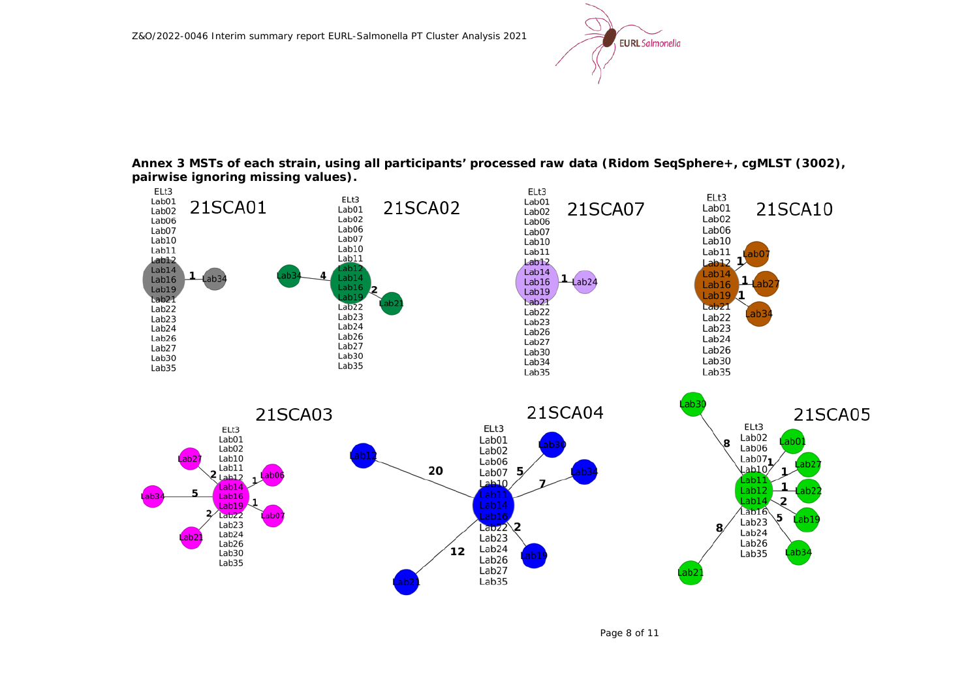

**Annex 3 MSTs of each strain, using all participants' processed raw data (Ridom SeqSphere+, cgMLST (3002), pairwise ignoring missing values).**

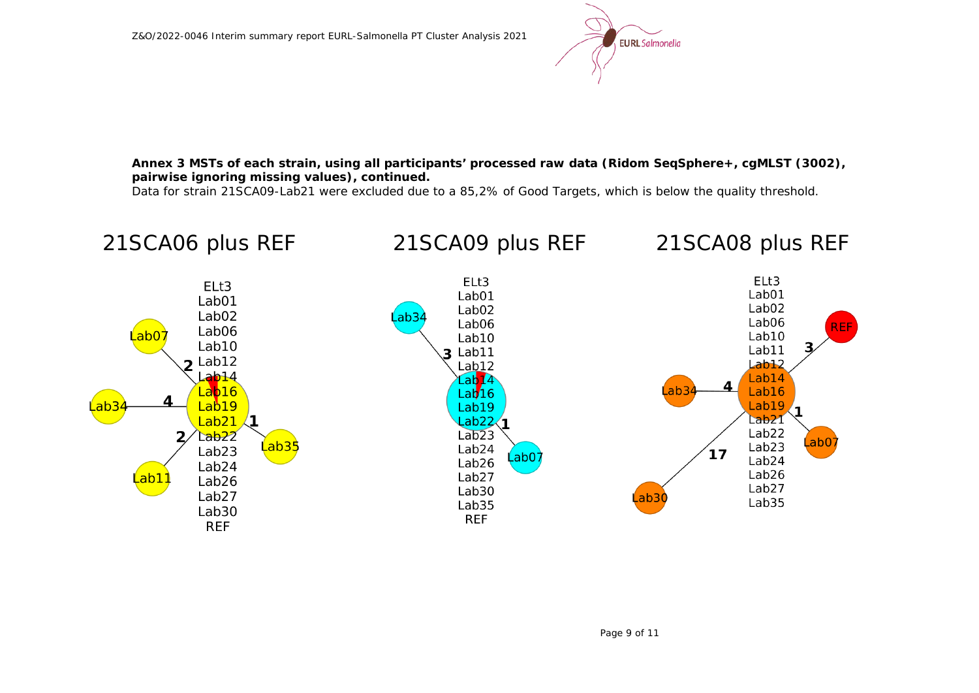

**Annex 3 MSTs of each strain, using all participants' processed raw data (Ridom SeqSphere+, cgMLST (3002), pairwise ignoring missing values), continued.**

Data for strain 21SCA09-Lab21 were excluded due to a 85,2% of Good Targets, which is below the quality threshold.

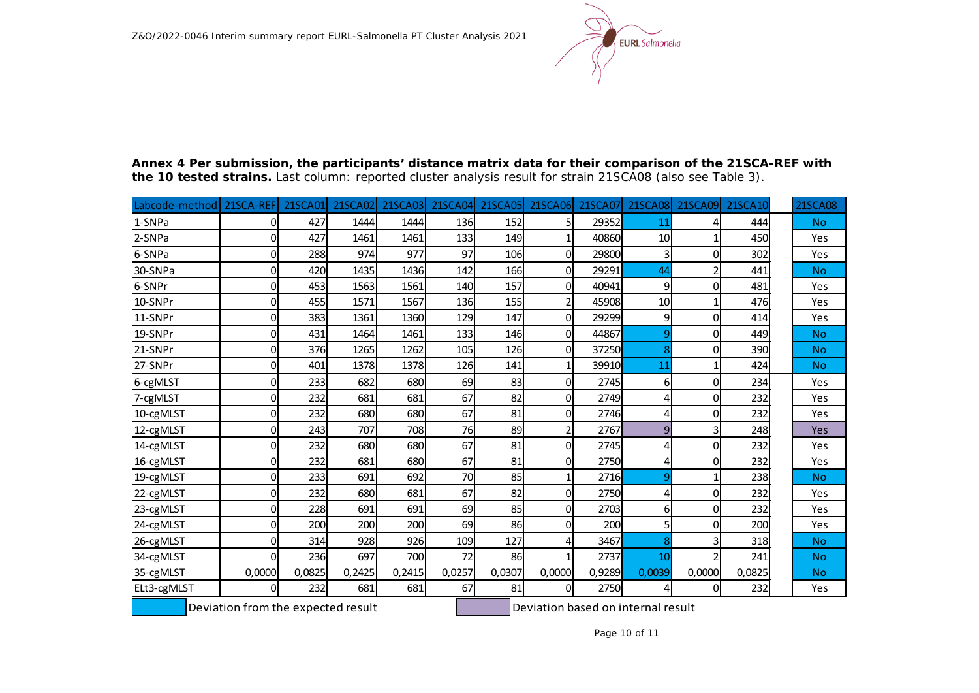

| Labcode-method | 21SCA-REF | 21SCA01 | 21SCA02 | 21SCA03 | <b>21SCA04</b> | <b>21SCA05</b> | <b>21SCA06</b> | 21SCA07 | <b>21SCA08</b> | <b>21SCA09</b> | 21SCA10 | <b>21SCA08</b> |
|----------------|-----------|---------|---------|---------|----------------|----------------|----------------|---------|----------------|----------------|---------|----------------|
| 1-SNPa         | 0         | 427     | 1444    | 1444    | 136            | 152            | 5              | 29352   | 11             |                | 444     | <b>No</b>      |
| 2-SNPa         | 0         | 427     | 1461    | 1461    | 133            | 149            |                | 40860   | 10             |                | 450     | Yes            |
| 6-SNPa         | 0         | 288     | 974     | 977     | 97             | 106            | $\Omega$       | 29800   | 3              | 0              | 302     | Yes            |
| 30-SNPa        | 0         | 420     | 1435    | 1436    | 142            | 166            | $\Omega$       | 29291   | 44             |                | 441     | <b>No</b>      |
| 6-SNPr         | 0         | 453     | 1563    | 1561    | 140            | 157            | $\Omega$       | 40941   | 9              | $\Omega$       | 481     | Yes            |
| 10-SNPr        | 0         | 455     | 1571    | 1567    | 136            | 155            | 2              | 45908   | 10             |                | 476     | Yes            |
| 11-SNPr        | 0         | 383     | 1361    | 1360    | 129            | 147            | $\Omega$       | 29299   | 9              | 0              | 414     | Yes            |
| 19-SNPr        | 0         | 431     | 1464    | 1461    | 133            | 146            | $\Omega$       | 44867   | 9              | 0              | 449     | <b>No</b>      |
| 21-SNPr        | 0         | 376     | 1265    | 1262    | 105            | 126            | O              | 37250   | 8              | 0              | 390     | <b>No</b>      |
| 27-SNPr        | 0         | 401     | 1378    | 1378    | 126            | 141            |                | 39910   | 11             |                | 424     | <b>No</b>      |
| 6-cgMLST       | 0         | 233     | 682     | 680     | 69             | 83             | 0              | 2745    | $6 \mid$       | 0              | 234     | Yes            |
| 7-cgMLST       | 0         | 232     | 681     | 681     | 67             | 82             | $\Omega$       | 2749    | 4              | 0              | 232     | Yes            |
| 10-cgMLST      | 0         | 232     | 680     | 680     | 67             | 81             | 0              | 2746    | 4              | 0              | 232     | Yes            |
| 12-cgMLST      | 0         | 243     | 707     | 708     | 76             | 89             | 2              | 2767    | 9              | 3              | 248     | Yes            |
| 14-cgMLST      | 0         | 232     | 680     | 680     | 67             | 81             | $\Omega$       | 2745    | 4              | 0              | 232     | Yes            |
| 16-cgMLST      | 0         | 232     | 681     | 680     | 67             | 81             | 0              | 2750    | 4              | 0              | 232     | Yes            |
| 19-cgMLST      | 0         | 233     | 691     | 692     | 70             | 85             |                | 2716    | 9              |                | 238     | <b>No</b>      |
| 22-cgMLST      | 0         | 232     | 680     | 681     | 67             | 82             | $\Omega$       | 2750    | 4              | 0              | 232     | Yes            |
| 23-cgMLST      | 0         | 228     | 691     | 691     | 69             | 85             | 0              | 2703    | 6              | 0              | 232     | Yes            |
| 24-cgMLST      | 0         | 200     | 200     | 200     | 69             | 86             | $\Omega$       | 200     | 5              | 0              | 200     | Yes            |
| 26-cgMLST      | 0         | 314     | 928     | 926     | 109            | 127            | 4              | 3467    | 8              |                | 318     | <b>No</b>      |
| 34-cgMLST      | $\Omega$  | 236     | 697     | 700     | 72             | 86             |                | 2737    | 10             |                | 241     | <b>No</b>      |
| 35-cgMLST      | 0,0000    | 0,0825  | 0,2425  | 0,2415  | 0,0257         | 0,0307         | 0,0000         | 0,9289  | 0,0039         | 0,0000         | 0,0825  | <b>No</b>      |
| ELt3-cgMLST    | 0         | 232     | 681     | 681     | 67             | 81             | 0              | 2750    | 4              | 0              | 232     | Yes            |

**Annex 4 Per submission, the participants' distance matrix data for their comparison of the 21SCA-REF with the 10 tested strains.** Last column: reported cluster analysis result for strain 21SCA08 (also see Table 3).

Deviation from the expected result  $\Box$  Deviation based on internal result